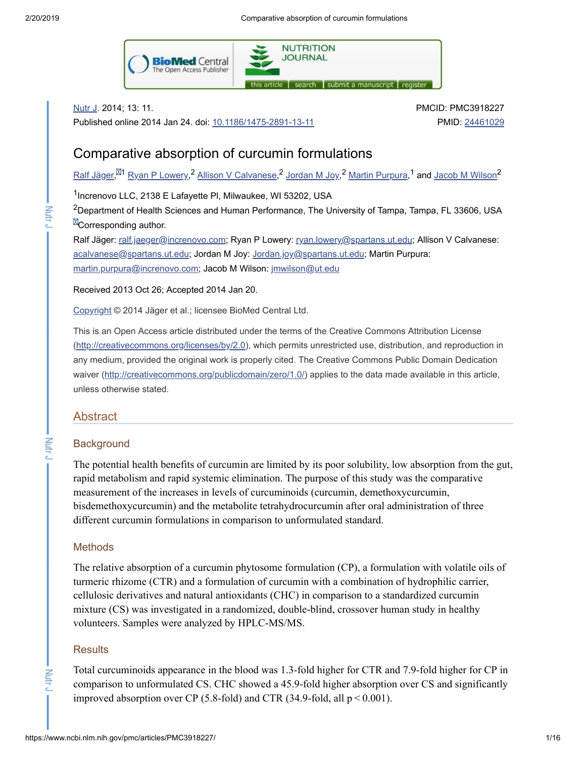**Nutry** 

Mutr J

Nutr<sub>J</sub>



Nutr J. 2014; 13: 11.

Published online 2014 Jan 24. doi: [10.1186/1475-2891-13-11](https://dx.doi.org/10.1186%2F1475-2891-13-11)

PMCID: PMC3918227 PMID: [24461029](https://www.ncbi.nlm.nih.gov/pubmed/24461029)

# Comparative absorption of curcumin formulations

 ${\rm R}$ alf [Jäger](https://www.ncbi.nlm.nih.gov/pubmed/?term=J%26%23x000e4%3Bger%20R%5BAuthor%5D&cauthor=true&cauthor_uid=24461029), $^{\boxtimes 1}$  Ryan P [Lowery,](https://www.ncbi.nlm.nih.gov/pubmed/?term=Lowery%20RP%5BAuthor%5D&cauthor=true&cauthor_uid=24461029) $^2$  Allison V [Calvanese,](https://www.ncbi.nlm.nih.gov/pubmed/?term=Calvanese%20AV%5BAuthor%5D&cauthor=true&cauthor_uid=24461029) $^2$  [Jordan](https://www.ncbi.nlm.nih.gov/pubmed/?term=Joy%20JM%5BAuthor%5D&cauthor=true&cauthor_uid=24461029) M Joy, $^2$  Martin [Purpura](https://www.ncbi.nlm.nih.gov/pubmed/?term=Purpura%20M%5BAuthor%5D&cauthor=true&cauthor_uid=24461029), $^1$  and Jacob M [Wilson](https://www.ncbi.nlm.nih.gov/pubmed/?term=Wilson%20JM%5BAuthor%5D&cauthor=true&cauthor_uid=24461029) $^2$ 

<sup>1</sup>Increnovo LLC, 2138 E Lafayette PI, Milwaukee, WI 53202, USA

 $^{2}$ Department of Health Sciences and Human Performance, The University of Tampa, Tampa, FL 33606, USA **E**Corresponding author.

Ralf Jäger: [ralf.jaeger@increnovo.com](mailto:dev@null); Ryan P Lowery: [ryan.lowery@spartans.ut.edu;](mailto:dev@null) Allison V Calvanese: [acalvanese@spartans.ut.edu](mailto:dev@null); Jordan M Joy: [Jordan.joy@spartans.ut.edu](mailto:dev@null); Martin Purpura: [martin.purpura@increnovo.com;](mailto:dev@null) Jacob M Wilson: [jmwilson@ut.edu](mailto:dev@null)

Received 2013 Oct 26; Accepted 2014 Jan 20.

[Copyright](https://www.ncbi.nlm.nih.gov/pmc/about/copyright/) © 2014 Jäger et al.; licensee BioMed Central Ltd.

This is an Open Access article distributed under the terms of the Creative Commons Attribution License ([http://creativecommons.org/licenses/by/2.0\)](http://creativecommons.org/licenses/by/2.0), which permits unrestricted use, distribution, and reproduction in any medium, provided the original work is properly cited. The Creative Commons Public Domain Dedication waiver [\(http://creativecommons.org/publicdomain/zero/1.0/\)](http://creativecommons.org/publicdomain/zero/1.0/) applies to the data made available in this article, unless otherwise stated.

# Abstract

## **Background**

The potential health benefits of curcumin are limited by its poor solubility, low absorption from the gut, rapid metabolism and rapid systemic elimination. The purpose of this study was the comparative measurement of the increases in levels of curcuminoids (curcumin, demethoxycurcumin, bisdemethoxycurcumin) and the metabolite tetrahydrocurcumin after oral administration of three different curcumin formulations in comparison to unformulated standard.

## **Methods**

The relative absorption of a curcumin phytosome formulation (CP), a formulation with volatile oils of turmeric rhizome (CTR) and a formulation of curcumin with a combination of hydrophilic carrier, cellulosic derivatives and natural antioxidants (CHC) in comparison to a standardized curcumin mixture (CS) was investigated in a randomized, double-blind, crossover human study in healthy volunteers. Samples were analyzed by HPLC-MS/MS.

## **Results**

Total curcuminoids appearance in the blood was 1.3-fold higher for CTR and 7.9-fold higher for CP in comparison to unformulated CS. CHC showed a 45.9-fold higher absorption over CS and significantly improved absorption over CP (5.8-fold) and CTR (34.9-fold, all  $p < 0.001$ ).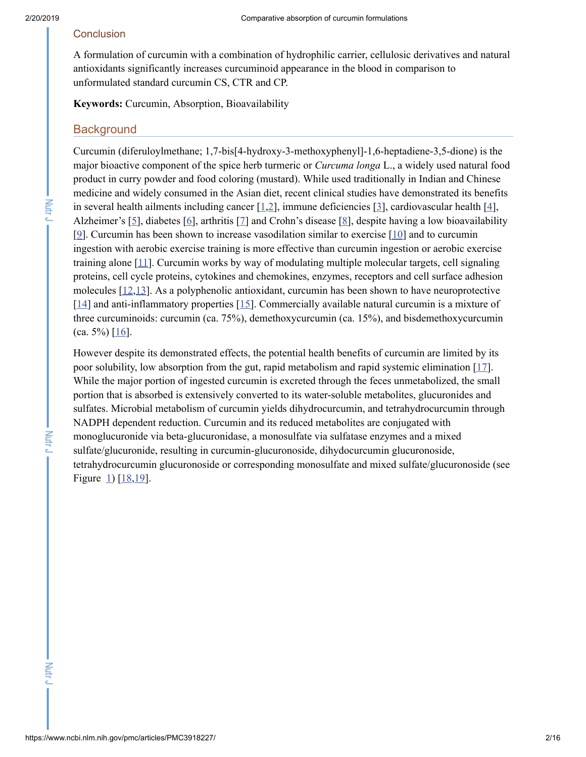**Nutry** 

# **Conclusion**

A formulation of curcumin with a combination of hydrophilic carrier, cellulosic derivatives and natural antioxidants significantly increases curcuminoid appearance in the blood in comparison to unformulated standard curcumin CS, CTR and CP.

**Keywords:** Curcumin, Absorption, Bioavailability

# **Background**

Curcumin (diferuloylmethane; 1,7-bis[4-hydroxy-3-methoxyphenyl]-1,6-heptadiene-3,5-dione) is the major bioactive component of the spice herb turmeric or *Curcuma longa* L., a widely used natural food product in curry powder and food coloring (mustard). While used traditionally in Indian and Chinese medicine and widely consumed in the Asian diet, recent clinical studies have demonstrated its benefits in several health ailments including cancer [\[1](#page-12-0),[2](#page-12-1)], immune deficiencies [\[3](#page-12-2)], cardiovascular health [\[4](#page-13-0)], Alzheimer's [[5](#page-13-1)], diabetes [\[6\]](#page-13-2), arthritis [\[7](#page-13-3)] and Crohn's disease [\[8\]](#page-13-4), despite having a low bioavailability [\[9\]](#page-13-5). Curcumin has been shown to increase vasodilation similar to exercise [\[10](#page-13-6)] and to curcumin ingestion with aerobic exercise training is more effective than curcumin ingestion or aerobic exercise training alone [\[11](#page-13-7)]. Curcumin works by way of modulating multiple molecular targets, cell signaling proteins, cell cycle proteins, cytokines and chemokines, enzymes, receptors and cell surface adhesion molecules  $[12,13]$  $[12,13]$  $[12,13]$  $[12,13]$ . As a polyphenolic antioxidant, curcumin has been shown to have neuroprotective  $[14]$  $[14]$  and anti-inflammatory properties  $[15]$  $[15]$ . Commercially available natural curcumin is a mixture of three curcuminoids: curcumin (ca. 75%), demethoxycurcumin (ca. 15%), and bisdemethoxycurcumin (ca. 5%) [[16\]](#page-13-12).

However despite its demonstrated effects, the potential health benefits of curcumin are limited by its poor solubility, low absorption from the gut, rapid metabolism and rapid systemic elimination [\[17](#page-13-13)]. While the major portion of ingested curcumin is excreted through the feces unmetabolized, the small portion that is absorbed is extensively converted to its water-soluble metabolites, glucuronides and sulfates. Microbial metabolism of curcumin yields dihydrocurcumin, and tetrahydrocurcumin through NADPH dependent reduction. Curcumin and its reduced metabolites are conjugated with monoglucuronide via beta-glucuronidase, a monosulfate via sulfatase enzymes and a mixed sulfate/glucuronide, resulting in curcumin-glucuronoside, dihydocurcumin glucuronoside, tetrahydrocurcumin glucuronoside or corresponding monosulfate and mixed sulfate/glucuronoside (see Figure  $1)$  [[18,](#page-13-14)[19\]](#page-13-15).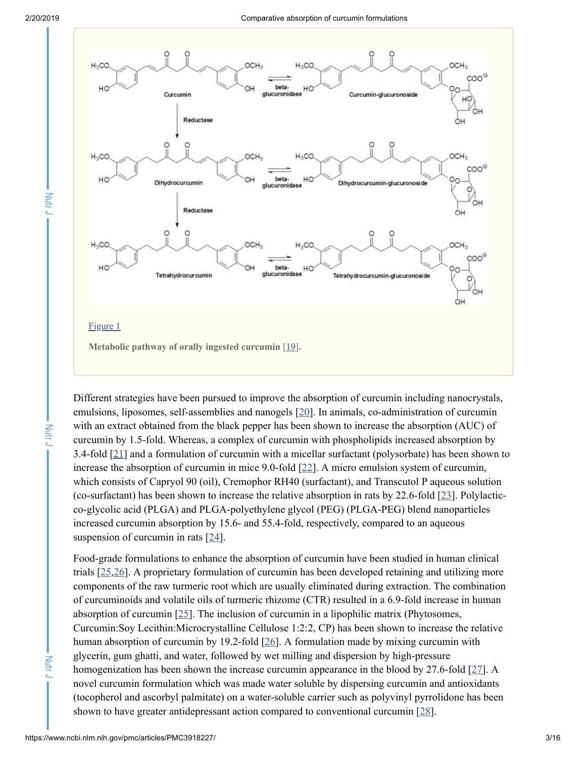Nutr<sub>J</sub>

Nutr<sub>J</sub>



Different strategies have been pursued to improve the absorption of curcumin including nanocrystals, emulsions, liposomes, self-assemblies and nanogels [[20\]](#page-14-0). In animals, co-administration of curcumin with an extract obtained from the black pepper has been shown to increase the absorption (AUC) of curcumin by 1.5-fold. Whereas, a complex of curcumin with phospholipids increased absorption by 3.4-fold [\[21\]](#page-14-1) and a formulation of curcumin with a micellar surfactant (polysorbate) has been shown to increase the absorption of curcumin in mice 9.0-fold  $[22]$  $[22]$ . A micro emulsion system of curcumin, which consists of Capryol 90 (oil), Cremophor RH40 (surfactant), and Transcutol P aqueous solution (co-surfactant) has been shown to increase the relative absorption in rats by 22.6-fold  $[23]$  $[23]$ . Polylacticco-glycolic acid (PLGA) and PLGA-polyethylene glycol (PEG) (PLGA-PEG) blend nanoparticles increased curcumin absorption by 15.6- and 55.4-fold, respectively, compared to an aqueous suspension of curcumin in rats [[24](#page-14-4)].

Food-grade formulations to enhance the absorption of curcumin have been studied in human clinical trials [\[25](#page-14-5)[,26](#page-14-6)]. A proprietary formulation of curcumin has been developed retaining and utilizing more components of the raw turmeric root which are usually eliminated during extraction. The combination of curcuminoids and volatile oils of turmeric rhizome (CTR) resulted in a 6.9-fold increase in human absorption of curcumin [\[25](#page-14-5)]. The inclusion of curcumin in a lipophilic matrix (Phytosomes, Curcumin:Soy Lecithin:Microcrystalline Cellulose 1:2:2, CP) has been shown to increase the relative human absorption of curcumin by 19.2-fold [\[26](#page-14-6)]. A formulation made by mixing curcumin with glycerin, gum ghatti, and water, followed by wet milling and dispersion by high-pressure homogenization has been shown the increase curcumin appearance in the blood by 27.6-fold [[27\]](#page-14-7). A novel curcumin formulation which was made water soluble by dispersing curcumin and antioxidants (tocopherol and ascorbyl palmitate) on a water-soluble carrier such as polyvinyl pyrrolidone has been shown to have greater antidepressant action compared to conventional curcumin [\[28\]](#page-14-8).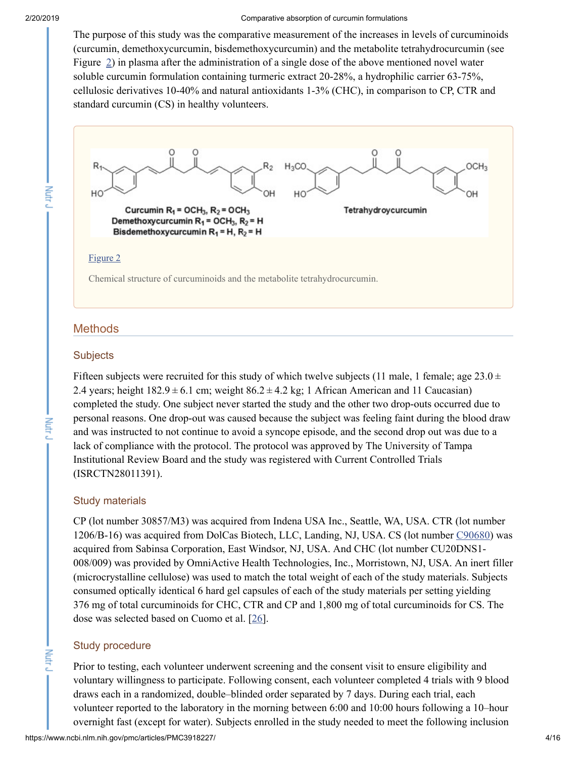#### 2/20/2019 Comparative absorption of curcumin formulations

The purpose of this study was the comparative measurement of the increases in levels of curcuminoids (curcumin, demethoxycurcumin, bisdemethoxycurcumin) and the metabolite tetrahydrocurcumin (see Figure [2\)](https://www.ncbi.nlm.nih.gov/pmc/articles/PMC3918227/figure/F2/) in plasma after the administration of a single dose of the above mentioned novel water soluble curcumin formulation containing turmeric extract 20-28%, a hydrophilic carrier 63-75%, cellulosic derivatives 10-40% and natural antioxidants 1-3% (CHC), in comparison to CP, CTR and standard curcumin (CS) in healthy volunteers.



# **Methods**

## **Subjects**

Fifteen subjects were recruited for this study of which twelve subjects (11 male, 1 female; age  $23.0 \pm$ 2.4 years; height  $182.9 \pm 6.1$  cm; weight  $86.2 \pm 4.2$  kg; 1 African American and 11 Caucasian) completed the study. One subject never started the study and the other two drop-outs occurred due to personal reasons. One drop-out was caused because the subject was feeling faint during the blood draw and was instructed to not continue to avoid a syncope episode, and the second drop out was due to a lack of compliance with the protocol. The protocol was approved by The University of Tampa Institutional Review Board and the study was registered with Current Controlled Trials (ISRCTN28011391).

## Study materials

CP (lot number 30857/M3) was acquired from Indena USA Inc., Seattle, WA, USA. CTR (lot number 1206/B-16) was acquired from DolCas Biotech, LLC, Landing, NJ, USA. CS (lot number [C90680\)](https://www.ncbi.nlm.nih.gov/nuccore/C90680) was acquired from Sabinsa Corporation, East Windsor, NJ, USA. And CHC (lot number CU20DNS1- 008/009) was provided by OmniActive Health Technologies, Inc., Morristown, NJ, USA. An inert filler (microcrystalline cellulose) was used to match the total weight of each of the study materials. Subjects consumed optically identical 6 hard gel capsules of each of the study materials per setting yielding 376 mg of total curcuminoids for CHC, CTR and CP and 1,800 mg of total curcuminoids for CS. The dose was selected based on Cuomo et al. [\[26](#page-14-6)].

# Study procedure

**Nutry** 

Prior to testing, each volunteer underwent screening and the consent visit to ensure eligibility and voluntary willingness to participate. Following consent, each volunteer completed 4 trials with 9 blood draws each in a randomized, double–blinded order separated by 7 days. During each trial, each volunteer reported to the laboratory in the morning between 6:00 and 10:00 hours following a 10-hour overnight fast (except for water). Subjects enrolled in the study needed to meet the following inclusion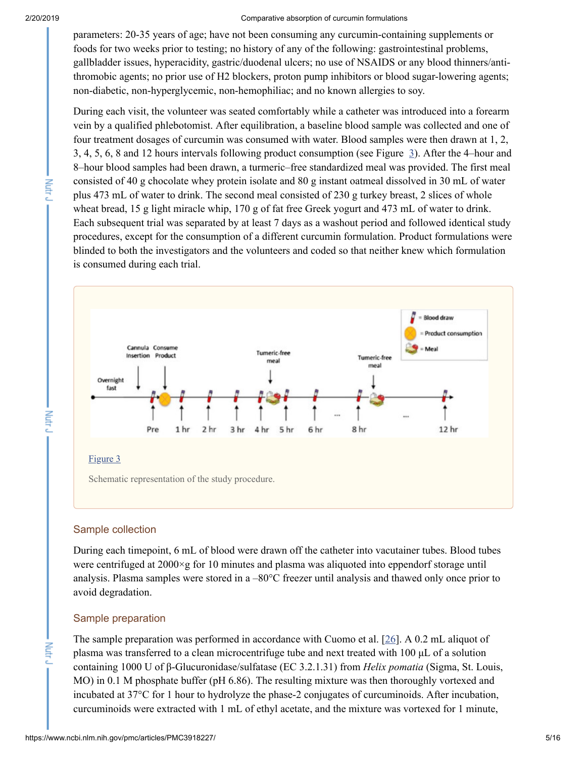**Putte** 

**Nutry** 

**Nutry** 

#### 2/20/2019 Comparative absorption of curcumin formulations

parameters: 20-35 years of age; have not been consuming any curcumin-containing supplements or foods for two weeks prior to testing; no history of any of the following: gastrointestinal problems, gallbladder issues, hyperacidity, gastric/duodenal ulcers; no use of NSAIDS or any blood thinners/antithromobic agents; no prior use of H2 blockers, proton pump inhibitors or blood sugar-lowering agents; non-diabetic, non-hyperglycemic, non-hemophiliac; and no known allergies to soy.

During each visit, the volunteer was seated comfortably while a catheter was introduced into a forearm vein by a qualified phlebotomist. After equilibration, a baseline blood sample was collected and one of four treatment dosages of curcumin was consumed with water. Blood samples were then drawn at 1, 2, 3, 4, 5, 6, 8 and 12 hours intervals following product consumption (see Figure  $\overline{3}$ ). After the 4-hour and 8-hour blood samples had been drawn, a turmeric–free standardized meal was provided. The first meal consisted of 40 g chocolate whey protein isolate and 80 g instant oatmeal dissolved in 30 mL of water plus 473 mL of water to drink. The second meal consisted of 230 g turkey breast, 2 slices of whole wheat bread, 15 g light miracle whip, 170 g of fat free Greek yogurt and 473 mL of water to drink. Each subsequent trial was separated by at least 7 days as a washout period and followed identical study procedures, except for the consumption of a different curcumin formulation. Product formulations were blinded to both the investigators and the volunteers and coded so that neither knew which formulation is consumed during each trial.



# Sample collection

During each timepoint, 6 mL of blood were drawn off the catheter into vacutainer tubes. Blood tubes were centrifuged at  $2000 \times g$  for 10 minutes and plasma was aliquoted into eppendorf storage until analysis. Plasma samples were stored in a -80°C freezer until analysis and thawed only once prior to avoid degradation.

# Sample preparation

The sample preparation was performed in accordance with Cuomo et al. [\[26](#page-14-6)]. A 0.2 mL aliquot of plasma was transferred to a clean microcentrifuge tube and next treated with 100 μL of a solution containing 1000 U of β-Glucuronidase/sulfatase (EC 3.2.1.31) from *Helix pomatia* (Sigma, St. Louis, MO) in 0.1 M phosphate buffer (pH 6.86). The resulting mixture was then thoroughly vortexed and incubated at 37°C for 1 hour to hydrolyze the phase-2 conjugates of curcuminoids. After incubation, curcuminoids were extracted with 1 mL of ethyl acetate, and the mixture was vortexed for 1 minute,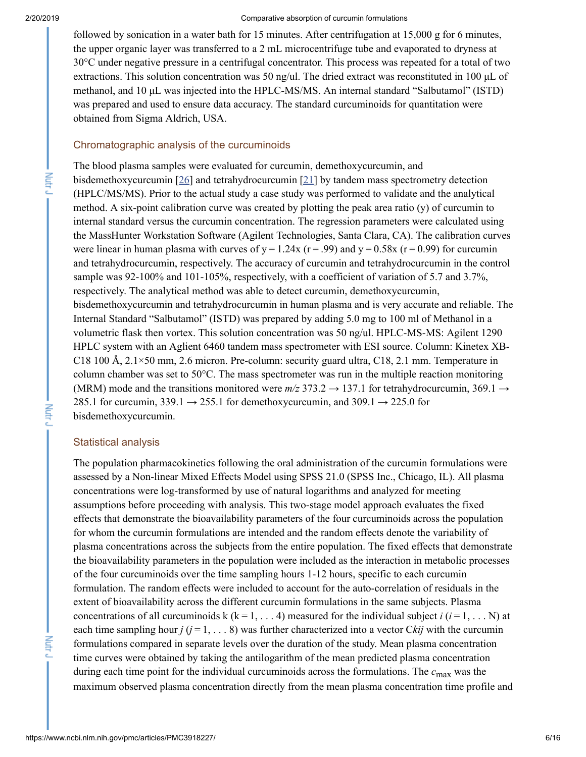Nutry

**Nutry** 

**Lutry** 

#### 2/20/2019 Comparative absorption of curcumin formulations

followed by sonication in a water bath for 15 minutes. After centrifugation at 15,000 g for 6 minutes, the upper organic layer was transferred to a 2 mL microcentrifuge tube and evaporated to dryness at 30°C under negative pressure in a centrifugal concentrator. This process was repeated for a total of two extractions. This solution concentration was 50 ng/ul. The dried extract was reconstituted in 100 μL of methanol, and 10 μL was injected into the HPLC-MS/MS. An internal standard "Salbutamol" (ISTD) was prepared and used to ensure data accuracy. The standard curcuminoids for quantitation were obtained from Sigma Aldrich, USA.

## Chromatographic analysis of the curcuminoids

The blood plasma samples were evaluated for curcumin, demethoxycurcumin, and bisdemethoxycurcumin [\[26](#page-14-6)] and tetrahydrocurcumin [\[21\]](#page-14-1) by tandem mass spectrometry detection (HPLC/MS/MS). Prior to the actual study a case study was performed to validate and the analytical method. A six-point calibration curve was created by plotting the peak area ratio (y) of curcumin to internal standard versus the curcumin concentration. The regression parameters were calculated using the MassHunter Workstation Software (Agilent Technologies, Santa Clara, CA). The calibration curves were linear in human plasma with curves of  $y = 1.24x$  (r = .99) and  $y = 0.58x$  (r = 0.99) for curcumin and tetrahydrocurcumin, respectively. The accuracy of curcumin and tetrahydrocurcumin in the control sample was 92-100% and 101-105%, respectively, with a coefficient of variation of 5.7 and 3.7%, respectively. The analytical method was able to detect curcumin, demethoxycurcumin, bisdemethoxycurcumin and tetrahydrocurcumin in human plasma and is very accurate and reliable. The Internal Standard "Salbutamol" (ISTD) was prepared by adding 5.0 mg to 100 ml of Methanol in a volumetric flask then vortex. This solution concentration was 50 ng/ul. HPLC-MS-MS: Agilent 1290 HPLC system with an Aglient 6460 tandem mass spectrometer with ESI source. Column: Kinetex XB-C18 100 Å, 2.1×50 mm, 2.6 micron. Pre-column: security guard ultra, C18, 2.1 mm. Temperature in column chamber was set to  $50^{\circ}$ C. The mass spectrometer was run in the multiple reaction monitoring (MRM) mode and the transitions monitored were  $m/z$  373.2  $\rightarrow$  137.1 for tetrahydrocurcumin, 369.1  $\rightarrow$ 285.1 for curcumin, 339.1  $\rightarrow$  255.1 for demethoxycurcumin, and 309.1  $\rightarrow$  225.0 for bisdemethoxycurcumin.

## Statistical analysis

The population pharmacokinetics following the oral administration of the curcumin formulations were assessed by a Non-linear Mixed Effects Model using SPSS 21.0 (SPSS Inc., Chicago, IL). All plasma concentrations were log-transformed by use of natural logarithms and analyzed for meeting assumptions before proceeding with analysis. This two-stage model approach evaluates the fixed effects that demonstrate the bioavailability parameters of the four curcuminoids across the population for whom the curcumin formulations are intended and the random effects denote the variability of plasma concentrations across the subjects from the entire population. The fixed effects that demonstrate the bioavailability parameters in the population were included as the interaction in metabolic processes of the four curcuminoids over the time sampling hours 1-12 hours, specific to each curcumin formulation. The random effects were included to account for the auto-correlation of residuals in the extent of bioavailability across the different curcumin formulations in the same subjects. Plasma concentrations of all curcuminoids  $k$  ( $k = 1, \ldots, 4$ ) measured for the individual subject *i* ( $i = 1, \ldots, N$ ) at each time sampling hour  $j$  ( $j = 1, \ldots 8$ ) was further characterized into a vector Ckij with the curcumin formulations compared in separate levels over the duration of the study. Mean plasma concentration time curves were obtained by taking the antilogarithm of the mean predicted plasma concentration during each time point for the individual curcuminoids across the formulations. The  $c_{\text{max}}$  was the maximum observed plasma concentration directly from the mean plasma concentration time profile and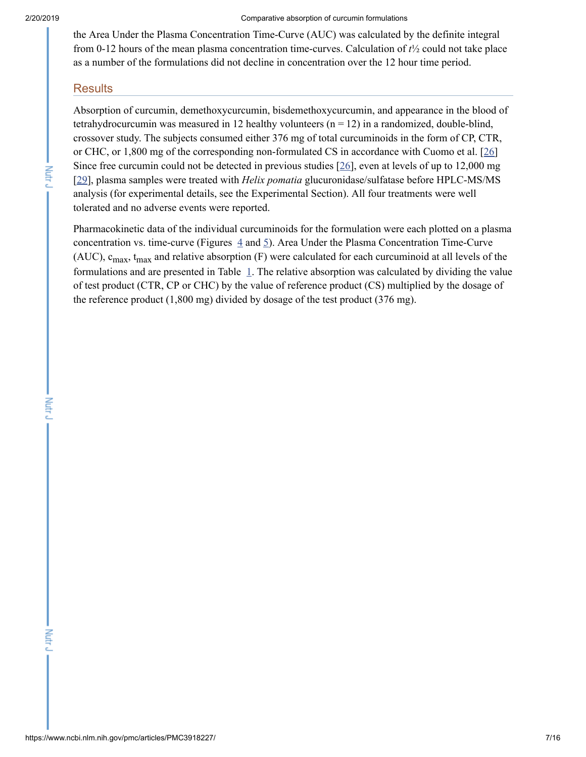#### 2/20/2019 Comparative absorption of curcumin formulations

the Area Under the Plasma Concentration Time-Curve (AUC) was calculated by the definite integral from 0-12 hours of the mean plasma concentration time-curves. Calculation of *t*½ could not take place as a number of the formulations did not decline in concentration over the 12 hour time period.

# **Results**

Absorption of curcumin, demethoxycurcumin, bisdemethoxycurcumin, and appearance in the blood of tetrahydrocurcumin was measured in 12 healthy volunteers ( $n = 12$ ) in a randomized, double-blind, crossover study. The subjects consumed either 376 mg of total curcuminoids in the form of CP, CTR, or CHC, or 1,800 mg of the corresponding non-formulated CS in accordance with Cuomo et al. [\[26](#page-14-6)] Since free curcumin could not be detected in previous studies [[26\]](#page-14-6), even at levels of up to 12,000 mg [\[29](#page-14-9)], plasma samples were treated with *Helix pomatia* glucuronidase/sulfatase before HPLC-MS/MS analysis (for experimental details, see the Experimental Section). All four treatments were well tolerated and no adverse events were reported.

Pharmacokinetic data of the individual curcuminoids for the formulation were each plotted on a plasma concentration vs. time-curve (Figures  $\frac{4}{3}$  $\frac{4}{3}$  $\frac{4}{3}$  and  $\frac{5}{2}$  $\frac{5}{2}$  $\frac{5}{2}$ ). Area Under the Plasma Concentration Time-Curve (AUC),  $c_{\text{max}}$ ,  $t_{\text{max}}$  and relative absorption (F) were calculated for each curcuminoid at all levels of the formulations and are presented in Table  $\perp$ . The relative absorption was calculated by dividing the value of test product (CTR, CP or CHC) by the value of reference product (CS) multiplied by the dosage of the reference product (1,800 mg) divided by dosage of the test product (376 mg).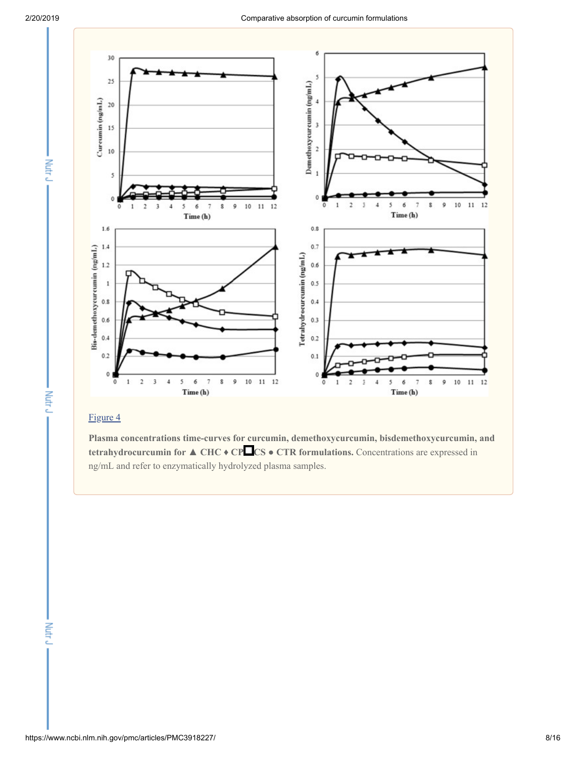Nutr<sub>J</sub>

Nutr<sub>J</sub>



# [Figure](https://www.ncbi.nlm.nih.gov/pmc/articles/PMC3918227/figure/F4/) 4

**Plasma concentrations time-curves for curcumin, demethoxycurcumin, bisdemethoxycurcumin, and tetrahydrocurcumin for ▲ CHC** ♦ **CP CS ● CTR formulations.** Concentrations are expressed in ng/mL and refer to enzymatically hydrolyzed plasma samples.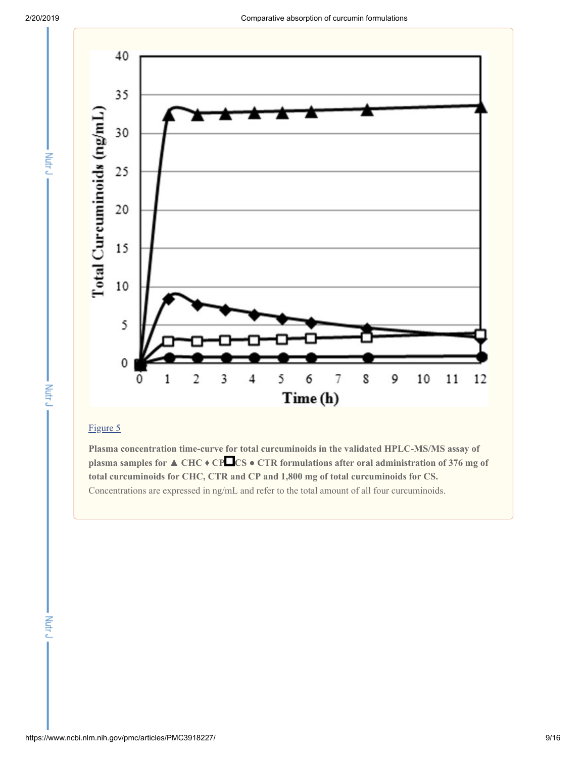Nutr<sub>J</sub>

Nutr<sub>J</sub>



# [Figure](https://www.ncbi.nlm.nih.gov/pmc/articles/PMC3918227/figure/F5/) 5

**Plasma concentration time-curve for total curcuminoids in the validated HPLC-MS/MS assay of plasma samples for ▲ CHC** ♦ **CP CS ● CTR formulations after oral administration of 376 mg of total curcuminoids for CHC, CTR and CP and 1,800 mg of total curcuminoids for CS.** Concentrations are expressed in ng/mL and refer to the total amount of all four curcuminoids.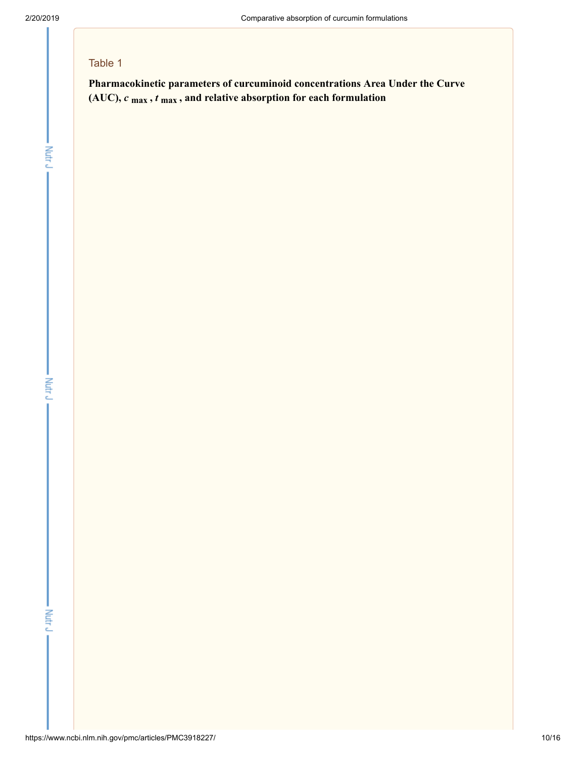- Nutr J

# Table 1

**Pharmacokinetic parameters of curcuminoid concentrations Area Under the Curve (AUC),** *c* **max ,** *t* **max , and relative absorption for each formulation**

Nutr J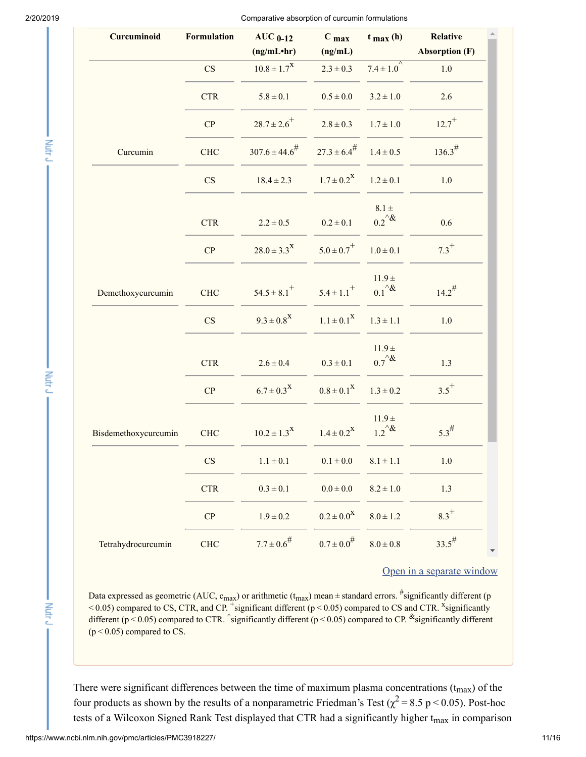Mutri J

Mutr

Nutr<sub>J</sub>

2/20/2019 Comparative absorption of curcumin formulations

| Curcuminoid          | Formulation            | $AUC_{0-12}$<br>(ng/mL <sup>•</sup> hr) | C <sub>max</sub><br>(ng/mL) | $t_{max}$ (h)                  | Relative<br><b>Absorption (F)</b> |
|----------------------|------------------------|-----------------------------------------|-----------------------------|--------------------------------|-----------------------------------|
|                      | $\overline{\text{CS}}$ | $10.8 \pm 1.7^X$                        | $2.3 \pm 0.3$               | $7.4 \pm 1.0^{7}$              | $1.0\,$                           |
|                      | <b>CTR</b>             | $5.8 \pm 0.1$                           | $0.5\pm0.0$                 | $3.2 \pm 1.0$                  | 2.6                               |
|                      | CP                     | $28.7 \pm 2.6$ <sup>+</sup>             | $2.8 \pm 0.3$               | $1.7 \pm 1.0$                  | $12.7^{+}$                        |
| Curcumin             | <b>CHC</b>             | $307.6 \pm 44.6^{\#}$                   | $27.3 \pm 6.4^{\#}$         | $1.4 \pm 0.5$                  | $136.3^{\#}$                      |
|                      | CS                     | $18.4 \pm 2.3$                          | $1.7 \pm 0.2^X$             | $1.2 \pm 0.1$                  | $1.0\,$                           |
|                      | <b>CTR</b>             | $2.2 \pm 0.5$                           | $0.2 \pm 0.1$               | $8.1 \pm$<br>$0.2^{\wedge}$ &  | 0.6                               |
|                      | CP                     | $28.0 \pm 3.3^{\text{X}}$               | $5.0 \pm 0.7$ <sup>+</sup>  | $1.0 \pm 0.1$                  | $7.3^{+}$                         |
| Demethoxycurcumin    | <b>CHC</b>             | $54.5 \pm 8.1$ <sup>+</sup>             | $5.4 \pm 1.1$ <sup>+</sup>  | $11.9 \pm$<br>$0.1^{\wedge}$   | $14.2^{\#}$                       |
|                      | $\mathbf{C}\mathbf{S}$ | $9.3 \pm 0.8^X$                         | $1.1 \pm 0.1^{\text{X}}$    | $1.3 \pm 1.1$                  | $1.0\,$                           |
|                      | <b>CTR</b>             | $2.6 \pm 0.4$                           | $0.3 \pm 0.1$               | $11.9 \pm$<br>$0.7^{\text{A}}$ | 1.3                               |
|                      | ${\bf CP}$             | $6.7 \pm 0.3^X$                         | $0.8 \pm 0.1^{\text{X}}$    | $1.3 \pm 0.2$                  | $3.5^{+}$                         |
| Bisdemethoxycurcumin | CHC                    | $10.2 \pm 1.3$ <sup>X</sup>             | $1.4 \pm 0.2^X$             | $11.9 \pm$<br>$1.2^{\text{A}}$ | $5.3^{\#}$                        |
|                      | $\mathbf{C}\mathbf{S}$ | $1.1\pm0.1$                             | $0.1\pm0.0$                 | $8.1\pm1.1$                    | $1.0$                             |
|                      | <b>CTR</b>             | $0.3\pm0.1$                             | $0.0\pm0.0$                 | $8.2 \pm 1.0$                  | $1.3\,$                           |
|                      | ${\bf CP}$             | $1.9\pm0.2$                             | $0.2 \pm 0.0^X$             | $8.0\pm1.2$                    | $8.3^{+}$                         |
| Tetrahydrocurcumin   | ${\rm CHC}$            | $7.7 \pm 0.6^{\#}$                      | $0.7 \pm 0.0^{\#}$          | $8.0 \pm 0.8$                  | $33.5^{\#}$                       |

Open in a [separate](https://www.ncbi.nlm.nih.gov/pmc/articles/PMC3918227/table/T1/?report=objectonly) window

Data expressed as geometric (AUC,  $c_{max}$ ) or arithmetic ( $t_{max}$ ) mean $\pm$ standard errors.  $\frac{\#}{ }$ significantly different (p  $< 0.05$ ) compared to CS, CTR, and CP. significant different ( $p < 0.05$ ) compared to CS and CTR. significantly different (p < 0.05) compared to CTR. significantly different (p < 0.05) compared to CP.  $^{\&}$  significantly different  $(p < 0.05)$  compared to CS.

There were significant differences between the time of maximum plasma concentrations  $(t_{max})$  of the four products as shown by the results of a nonparametric Friedman's Test ( $\chi^2$  = 8.5 p < 0.05). Post-hoc tests of a Wilcoxon Signed Rank Test displayed that CTR had a significantly higher t<sub>max</sub> in comparison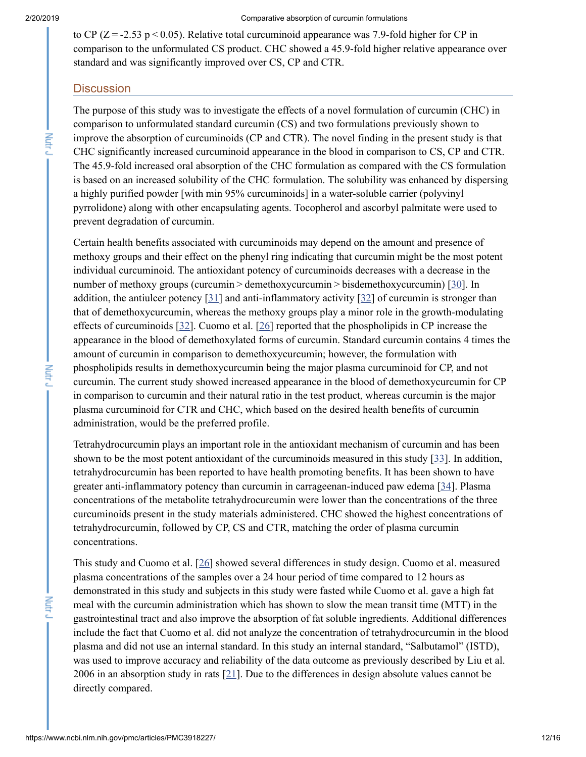#### 2/20/2019 Comparative absorption of curcumin formulations

to CP ( $Z = -2.53$  p < 0.05). Relative total curcuminoid appearance was 7.9-fold higher for CP in comparison to the unformulated CS product. CHC showed a 45.9-fold higher relative appearance over standard and was significantly improved over CS, CP and CTR.

## **Discussion**

The purpose of this study was to investigate the effects of a novel formulation of curcumin (CHC) in comparison to unformulated standard curcumin (CS) and two formulations previously shown to improve the absorption of curcuminoids (CP and CTR). The novel finding in the present study is that CHC significantly increased curcuminoid appearance in the blood in comparison to CS, CP and CTR. The 45.9-fold increased oral absorption of the CHC formulation as compared with the CS formulation is based on an increased solubility of the CHC formulation. The solubility was enhanced by dispersing a highly purified powder [with min 95% curcuminoids] in a water-soluble carrier (polyvinyl pyrrolidone) along with other encapsulating agents. Tocopherol and ascorbyl palmitate were used to prevent degradation of curcumin.

Certain health benefits associated with curcuminoids may depend on the amount and presence of methoxy groups and their effect on the phenyl ring indicating that curcumin might be the most potent individual curcuminoid. The antioxidant potency of curcuminoids decreases with a decrease in the number of methoxy groups (curcumin > demethoxycurcumin > bisdemethoxycurcumin) [\[30](#page-14-10)]. In addition, the antiulcer potency [[31](#page-14-11)] and anti-inflammatory activity [[32\]](#page-14-12) of curcumin is stronger than that of demethoxycurcumin, whereas the methoxy groups play a minor role in the growth-modulating effects of curcuminoids [[32\]](#page-14-12). Cuomo et al. [[26\]](#page-14-6) reported that the phospholipids in CP increase the appearance in the blood of demethoxylated forms of curcumin. Standard curcumin contains 4 times the amount of curcumin in comparison to demethoxycurcumin; however, the formulation with phospholipids results in demethoxycurcumin being the major plasma curcuminoid for CP, and not curcumin. The current study showed increased appearance in the blood of demethoxycurcumin for CP in comparison to curcumin and their natural ratio in the test product, whereas curcumin is the major plasma curcuminoid for CTR and CHC, which based on the desired health benefits of curcumin administration, would be the preferred profile.

Tetrahydrocurcumin plays an important role in the antioxidant mechanism of curcumin and has been shown to be the most potent antioxidant of the curcuminoids measured in this study [\[33](#page-14-13)]. In addition, tetrahydrocurcumin has been reported to have health promoting benefits. It has been shown to have greater anti-inflammatory potency than curcumin in carrageenan-induced paw edema [\[34](#page-15-0)]. Plasma concentrations of the metabolite tetrahydrocurcumin were lower than the concentrations of the three curcuminoids present in the study materials administered. CHC showed the highest concentrations of tetrahydrocurcumin, followed by CP, CS and CTR, matching the order of plasma curcumin concentrations.

This study and Cuomo et al. [\[26](#page-14-6)] showed several differences in study design. Cuomo et al. measured plasma concentrations of the samples over a 24 hour period of time compared to 12 hours as demonstrated in this study and subjects in this study were fasted while Cuomo et al. gave a high fat meal with the curcumin administration which has shown to slow the mean transit time (MTT) in the gastrointestinal tract and also improve the absorption of fat soluble ingredients. Additional differences include the fact that Cuomo et al. did not analyze the concentration of tetrahydrocurcumin in the blood plasma and did not use an internal standard. In this study an internal standard, "Salbutamol" (ISTD), was used to improve accuracy and reliability of the data outcome as previously described by Liu et al. 2006 in an absorption study in rats [\[21](#page-14-1)]. Due to the differences in design absolute values cannot be directly compared.

Nutr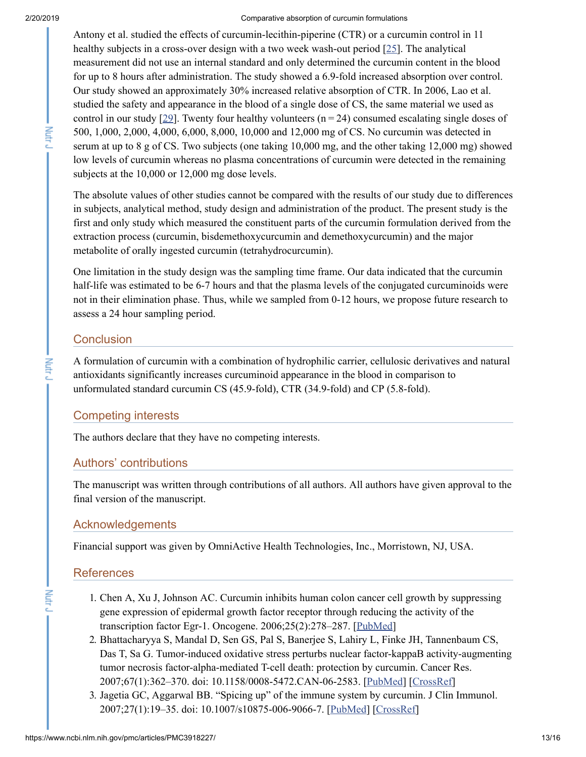#### 2/20/2019 Comparative absorption of curcumin formulations

Antony et al. studied the effects of curcumin-lecithin-piperine (CTR) or a curcumin control in 11 healthy subjects in a cross-over design with a two week wash-out period [\[25](#page-14-5)]. The analytical measurement did not use an internal standard and only determined the curcumin content in the blood for up to 8 hours after administration. The study showed a 6.9-fold increased absorption over control. Our study showed an approximately 30% increased relative absorption of CTR. In 2006, Lao et al. studied the safety and appearance in the blood of a single dose of CS, the same material we used as control in our study [\[29\]](#page-14-9). Twenty four healthy volunteers  $(n = 24)$  consumed escalating single doses of 500, 1,000, 2,000, 4,000, 6,000, 8,000, 10,000 and 12,000 mg of CS. No curcumin was detected in serum at up to 8 g of CS. Two subjects (one taking 10,000 mg, and the other taking 12,000 mg) showed low levels of curcumin whereas no plasma concentrations of curcumin were detected in the remaining subjects at the 10,000 or 12,000 mg dose levels.

The absolute values of other studies cannot be compared with the results of our study due to differences in subjects, analytical method, study design and administration of the product. The present study is the first and only study which measured the constituent parts of the curcumin formulation derived from the extraction process (curcumin, bisdemethoxycurcumin and demethoxycurcumin) and the major metabolite of orally ingested curcumin (tetrahydrocurcumin).

One limitation in the study design was the sampling time frame. Our data indicated that the curcumin half-life was estimated to be 6-7 hours and that the plasma levels of the conjugated curcuminoids were not in their elimination phase. Thus, while we sampled from 0-12 hours, we propose future research to assess a 24 hour sampling period.

# **Conclusion**

A formulation of curcumin with a combination of hydrophilic carrier, cellulosic derivatives and natural antioxidants significantly increases curcuminoid appearance in the blood in comparison to unformulated standard curcumin CS (45.9-fold), CTR (34.9-fold) and CP (5.8-fold).

# Competing interests

The authors declare that they have no competing interests.

# Authors' contributions

The manuscript was written through contributions of all authors. All authors have given approval to the final version of the manuscript.

# Acknowledgements

Financial support was given by OmniActive Health Technologies, Inc., Morristown, NJ, USA.

# References

- <span id="page-12-0"></span>1. Chen A, Xu J, Johnson AC. Curcumin inhibits human colon cancer cell growth by suppressing gene expression of epidermal growth factor receptor through reducing the activity of the transcription factor Egr-1. Oncogene. 2006;25(2):278–287. [[PubMed\]](https://www.ncbi.nlm.nih.gov/pubmed/16170359)
- <span id="page-12-1"></span>2. Bhattacharyya S, Mandal D, Sen GS, Pal S, Banerjee S, Lahiry L, Finke JH, Tannenbaum CS, Das T, Sa G. Tumor-induced oxidative stress perturbs nuclear factor-kappaB activity-augmenting tumor necrosis factor-alpha-mediated T-cell death: protection by curcumin. Cancer Res. 2007;67(1):362–370. doi: 10.1158/0008-5472.CAN-06-2583. [[PubMed](https://www.ncbi.nlm.nih.gov/pubmed/17210719)] [[CrossRef\]](https://dx.doi.org/10.1158%2F0008-5472.CAN-06-2583)
- <span id="page-12-2"></span>3. Jagetia GC, Aggarwal BB. "Spicing up" of the immune system by curcumin. J Clin Immunol. 2007;27(1):19–35. doi: 10.1007/s10875-006-9066-7. [[PubMed](https://www.ncbi.nlm.nih.gov/pubmed/17211725)] [[CrossRef\]](https://dx.doi.org/10.1007%2Fs10875-006-9066-7)

Nutr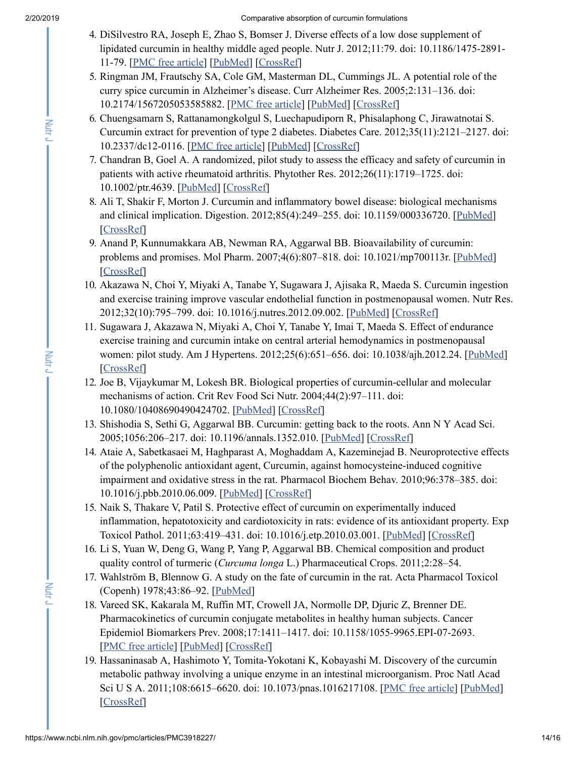- <span id="page-13-0"></span>4. DiSilvestro RA, Joseph E, Zhao S, Bomser J. Diverse effects of a low dose supplement of lipidated curcumin in healthy middle aged people. Nutr J. 2012;11:79. doi: 10.1186/1475-2891- 11-79. [PMC free [article\]](https://www.ncbi.nlm.nih.gov/pmc/articles/PMC3518252/) [\[PubMed\]](https://www.ncbi.nlm.nih.gov/pubmed/23013352) [[CrossRef](https://dx.doi.org/10.1186%2F1475-2891-11-79)]
- <span id="page-13-1"></span>5. Ringman JM, Frautschy SA, Cole GM, Masterman DL, Cummings JL. A potential role of the curry spice curcumin in Alzheimer's disease. Curr Alzheimer Res. 2005;2:131–136. doi: 10.2174/1567205053585882. [PMC free [article](https://www.ncbi.nlm.nih.gov/pmc/articles/PMC1702408/)] [[PubMed](https://www.ncbi.nlm.nih.gov/pubmed/15974909)] [\[CrossRef\]](https://dx.doi.org/10.2174%2F1567205053585882)
- <span id="page-13-2"></span>6. Chuengsamarn S, Rattanamongkolgul S, Luechapudiporn R, Phisalaphong C, Jirawatnotai S. Curcumin extract for prevention of type 2 diabetes. Diabetes Care. 2012;35(11):2121–2127. doi: 10.2337/dc12-0116. [PMC free [article\]](https://www.ncbi.nlm.nih.gov/pmc/articles/PMC3476912/) [\[PubMed\]](https://www.ncbi.nlm.nih.gov/pubmed/22773702) [\[CrossRef\]](https://dx.doi.org/10.2337%2Fdc12-0116)
- <span id="page-13-3"></span>7. Chandran B, Goel A. A randomized, pilot study to assess the efficacy and safety of curcumin in patients with active rheumatoid arthritis. Phytother Res. 2012;26(11):1719–1725. doi: 10.1002/ptr.4639. [\[PubMed\]](https://www.ncbi.nlm.nih.gov/pubmed/22407780) [\[CrossRef\]](https://dx.doi.org/10.1002%2Fptr.4639)
- <span id="page-13-4"></span>8. Ali T, Shakir F, Morton J. Curcumin and inflammatory bowel disease: biological mechanisms and clinical implication. Digestion. 2012;85(4):249–255. doi: 10.1159/000336720. [[PubMed\]](https://www.ncbi.nlm.nih.gov/pubmed/22950087) [\[CrossRef\]](https://dx.doi.org/10.1159%2F000336720)
- <span id="page-13-5"></span>9. Anand P, Kunnumakkara AB, Newman RA, Aggarwal BB. Bioavailability of curcumin: problems and promises. Mol Pharm. 2007;4(6):807–818. doi: 10.1021/mp700113r. [\[PubMed\]](https://www.ncbi.nlm.nih.gov/pubmed/17999464) [\[CrossRef\]](https://dx.doi.org/10.1021%2Fmp700113r)
- <span id="page-13-6"></span>10. Akazawa N, Choi Y, Miyaki A, Tanabe Y, Sugawara J, Ajisaka R, Maeda S. Curcumin ingestion and exercise training improve vascular endothelial function in postmenopausal women. Nutr Res. 2012;32(10):795–799. doi: 10.1016/j.nutres.2012.09.002. [\[PubMed](https://www.ncbi.nlm.nih.gov/pubmed/23146777)] [[CrossRef](https://dx.doi.org/10.1016%2Fj.nutres.2012.09.002)]
- <span id="page-13-7"></span>11. Sugawara J, Akazawa N, Miyaki A, Choi Y, Tanabe Y, Imai T, Maeda S. Effect of endurance exercise training and curcumin intake on central arterial hemodynamics in postmenopausal women: pilot study. Am J Hypertens. 2012;25(6):651–656. doi: 10.1038/ajh.2012.24. [[PubMed\]](https://www.ncbi.nlm.nih.gov/pubmed/22421908) [\[CrossRef\]](https://dx.doi.org/10.1038%2Fajh.2012.24)
- <span id="page-13-8"></span>12. Joe B, Vijaykumar M, Lokesh BR. Biological properties of curcumin-cellular and molecular mechanisms of action. Crit Rev Food Sci Nutr. 2004;44(2):97–111. doi: 10.1080/10408690490424702. [\[PubMed\]](https://www.ncbi.nlm.nih.gov/pubmed/15116757) [[CrossRef\]](https://dx.doi.org/10.1080%2F10408690490424702)
- <span id="page-13-9"></span>13. Shishodia S, Sethi G, Aggarwal BB. Curcumin: getting back to the roots. Ann N Y Acad Sci. 2005;1056:206–217. doi: 10.1196/annals.1352.010. [[PubMed\]](https://www.ncbi.nlm.nih.gov/pubmed/16387689) [\[CrossRef\]](https://dx.doi.org/10.1196%2Fannals.1352.010)
- <span id="page-13-10"></span>14. Ataie A, Sabetkasaei M, Haghparast A, Moghaddam A, Kazeminejad B. Neuroprotective effects of the polyphenolic antioxidant agent, Curcumin, against homocysteine-induced cognitive impairment and oxidative stress in the rat. Pharmacol Biochem Behav. 2010;96:378–385. doi: 10.1016/j.pbb.2010.06.009. [[PubMed](https://www.ncbi.nlm.nih.gov/pubmed/20619287)] [\[CrossRef](https://dx.doi.org/10.1016%2Fj.pbb.2010.06.009)]
- <span id="page-13-11"></span>15. Naik S, Thakare V, Patil S. Protective effect of curcumin on experimentally induced inflammation, hepatotoxicity and cardiotoxicity in rats: evidence of its antioxidant property. Exp Toxicol Pathol. 2011;63:419–431. doi: 10.1016/j.etp.2010.03.001. [\[PubMed\]](https://www.ncbi.nlm.nih.gov/pubmed/20363603) [[CrossRef](https://dx.doi.org/10.1016%2Fj.etp.2010.03.001)]
- <span id="page-13-12"></span>16. Li S, Yuan W, Deng G, Wang P, Yang P, Aggarwal BB. Chemical composition and product quality control of turmeric (*Curcuma longa* L.) Pharmaceutical Crops. 2011;2:28–54.
- <span id="page-13-13"></span>17. Wahlström B, Blennow G. A study on the fate of curcumin in the rat. Acta Pharmacol Toxicol (Copenh) 1978;43:86–92. [\[PubMed\]](https://www.ncbi.nlm.nih.gov/pubmed/696348)
- <span id="page-13-14"></span>18. Vareed SK, Kakarala M, Ruffin MT, Crowell JA, Normolle DP, Djuric Z, Brenner DE. Pharmacokinetics of curcumin conjugate metabolites in healthy human subjects. Cancer Epidemiol Biomarkers Prev. 2008;17:1411–1417. doi: 10.1158/1055-9965.EPI-07-2693. [PMC free [article\]](https://www.ncbi.nlm.nih.gov/pmc/articles/PMC4138955/) [\[PubMed](https://www.ncbi.nlm.nih.gov/pubmed/18559556)] [[CrossRef](https://dx.doi.org/10.1158%2F1055-9965.EPI-07-2693)]
- <span id="page-13-15"></span>19. Hassaninasab A, Hashimoto Y, Tomita-Yokotani K, Kobayashi M. Discovery of the curcumin metabolic pathway involving a unique enzyme in an intestinal microorganism. Proc Natl Acad Sci U S A. 2011;108:6615–6620. doi: 10.1073/pnas.1016217108. [PMC free [article\]](https://www.ncbi.nlm.nih.gov/pmc/articles/PMC3080977/) [\[PubMed](https://www.ncbi.nlm.nih.gov/pubmed/21467222)] [\[CrossRef\]](https://dx.doi.org/10.1073%2Fpnas.1016217108)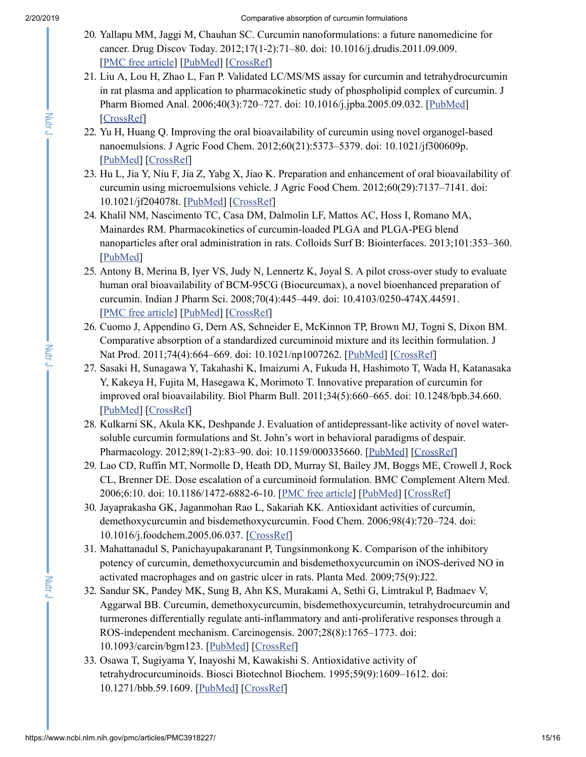Nutr

- <span id="page-14-0"></span>20. Yallapu MM, Jaggi M, Chauhan SC. Curcumin nanoformulations: a future nanomedicine for cancer. Drug Discov Today. 2012;17(1-2):71–80. doi: 10.1016/j.drudis.2011.09.009. [PMC free [article\]](https://www.ncbi.nlm.nih.gov/pmc/articles/PMC3259195/) [\[PubMed](https://www.ncbi.nlm.nih.gov/pubmed/21959306)] [[CrossRef](https://dx.doi.org/10.1016%2Fj.drudis.2011.09.009)]
- <span id="page-14-1"></span>21. Liu A, Lou H, Zhao L, Fan P. Validated LC/MS/MS assay for curcumin and tetrahydrocurcumin in rat plasma and application to pharmacokinetic study of phospholipid complex of curcumin. J Pharm Biomed Anal. 2006;40(3):720–727. doi: 10.1016/j.jpba.2005.09.032. [\[PubMed\]](https://www.ncbi.nlm.nih.gov/pubmed/16316738) [\[CrossRef\]](https://dx.doi.org/10.1016%2Fj.jpba.2005.09.032)
- <span id="page-14-2"></span>22. Yu H, Huang Q. Improving the oral bioavailability of curcumin using novel organogel-based nanoemulsions. J Agric Food Chem. 2012;60(21):5373–5379. doi: 10.1021/jf300609p. [\[PubMed](https://www.ncbi.nlm.nih.gov/pubmed/22506728)] [[CrossRef](https://dx.doi.org/10.1021%2Fjf300609p)]
- <span id="page-14-3"></span>23. Hu L, Jia Y, Niu F, Jia Z, Yabg X, Jiao K. Preparation and enhancement of oral bioavailability of curcumin using microemulsions vehicle. J Agric Food Chem. 2012;60(29):7137–7141. doi: 10.1021/jf204078t. [[PubMed\]](https://www.ncbi.nlm.nih.gov/pubmed/22587560) [[CrossRef\]](https://dx.doi.org/10.1021%2Fjf204078t)
- <span id="page-14-4"></span>24. Khalil NM, Nascimento TC, Casa DM, Dalmolin LF, Mattos AC, Hoss I, Romano MA, Mainardes RM. Pharmacokinetics of curcumin-loaded PLGA and PLGA-PEG blend nanoparticles after oral administration in rats. Colloids Surf B: Biointerfaces. 2013;101:353–360. [\[PubMed](https://www.ncbi.nlm.nih.gov/pubmed/23010041)]
- <span id="page-14-5"></span>25. Antony B, Merina B, Iyer VS, Judy N, Lennertz K, Joyal S. A pilot cross-over study to evaluate human oral bioavailability of BCM-95CG (Biocurcumax), a novel bioenhanced preparation of curcumin. Indian J Pharm Sci. 2008;70(4):445–449. doi: 10.4103/0250-474X.44591. [PMC free [article\]](https://www.ncbi.nlm.nih.gov/pmc/articles/PMC2792534/) [\[PubMed](https://www.ncbi.nlm.nih.gov/pubmed/20046768)] [[CrossRef](https://dx.doi.org/10.4103%2F0250-474X.44591)]
- <span id="page-14-6"></span>26. Cuomo J, Appendino G, Dern AS, Schneider E, McKinnon TP, Brown MJ, Togni S, Dixon BM. Comparative absorption of a standardized curcuminoid mixture and its lecithin formulation. J Nat Prod. 2011;74(4):664–669. doi: 10.1021/np1007262. [\[PubMed\]](https://www.ncbi.nlm.nih.gov/pubmed/21413691) [[CrossRef](https://dx.doi.org/10.1021%2Fnp1007262)]
- <span id="page-14-7"></span>27. Sasaki H, Sunagawa Y, Takahashi K, Imaizumi A, Fukuda H, Hashimoto T, Wada H, Katanasaka Y, Kakeya H, Fujita M, Hasegawa K, Morimoto T. Innovative preparation of curcumin for improved oral bioavailability. Biol Pharm Bull. 2011;34(5):660–665. doi: 10.1248/bpb.34.660. [\[PubMed](https://www.ncbi.nlm.nih.gov/pubmed/21532153)] [[CrossRef](https://dx.doi.org/10.1248%2Fbpb.34.660)]
- <span id="page-14-8"></span>28. Kulkarni SK, Akula KK, Deshpande J. Evaluation of antidepressant-like activity of novel watersoluble curcumin formulations and St. John's wort in behavioral paradigms of despair. Pharmacology. 2012;89(1-2):83-90. doi: 10.1159/000335660. [[PubMed\]](https://www.ncbi.nlm.nih.gov/pubmed/22343362) [[CrossRef\]](https://dx.doi.org/10.1159%2F000335660)
- <span id="page-14-9"></span>29. Lao CD, Ruffin MT, Normolle D, Heath DD, Murray SI, Bailey JM, Boggs ME, Crowell J, Rock CL, Brenner DE. Dose escalation of a curcuminoid formulation. BMC Complement Altern Med. 2006;6:10. doi: 10.1186/1472-6882-6-10. [PMC free [article\]](https://www.ncbi.nlm.nih.gov/pmc/articles/PMC1434783/) [[PubMed\]](https://www.ncbi.nlm.nih.gov/pubmed/16545122) [[CrossRef\]](https://dx.doi.org/10.1186%2F1472-6882-6-10)
- <span id="page-14-10"></span>30. Jayaprakasha GK, Jaganmohan Rao L, Sakariah KK. Antioxidant activities of curcumin, demethoxycurcumin and bisdemethoxycurcumin. Food Chem. 2006;98(4):720–724. doi: 10.1016/j.foodchem.2005.06.037. [\[CrossRef](https://dx.doi.org/10.1016%2Fj.foodchem.2005.06.037)]
- <span id="page-14-11"></span>31. Mahattanadul S, Panichayupakaranant P, Tungsinmonkong K. Comparison of the inhibitory potency of curcumin, demethoxycurcumin and bisdemethoxycurcumin on iNOS-derived NO in activated macrophages and on gastric ulcer in rats. Planta Med. 2009;75(9):J22.
- <span id="page-14-12"></span>32. Sandur SK, Pandey MK, Sung B, Ahn KS, Murakami A, Sethi G, Limtrakul P, Badmaev V, Aggarwal BB. Curcumin, demethoxycurcumin, bisdemethoxycurcumin, tetrahydrocurcumin and turmerones differentially regulate anti-inflammatory and anti-proliferative responses through a ROS-independent mechanism. Carcinogensis. 2007;28(8):1765–1773. doi: 10.1093/carcin/bgm123. [\[PubMed\]](https://www.ncbi.nlm.nih.gov/pubmed/17522064) [[CrossRef](https://dx.doi.org/10.1093%2Fcarcin%2Fbgm123)]
- <span id="page-14-13"></span>33. Osawa T, Sugiyama Y, Inayoshi M, Kawakishi S. Antioxidative activity of tetrahydrocurcuminoids. Biosci Biotechnol Biochem. 1995;59(9):1609–1612. doi: 10.1271/bbb.59.1609. [\[PubMed\]](https://www.ncbi.nlm.nih.gov/pubmed/8520105) [[CrossRef](https://dx.doi.org/10.1271%2Fbbb.59.1609)]